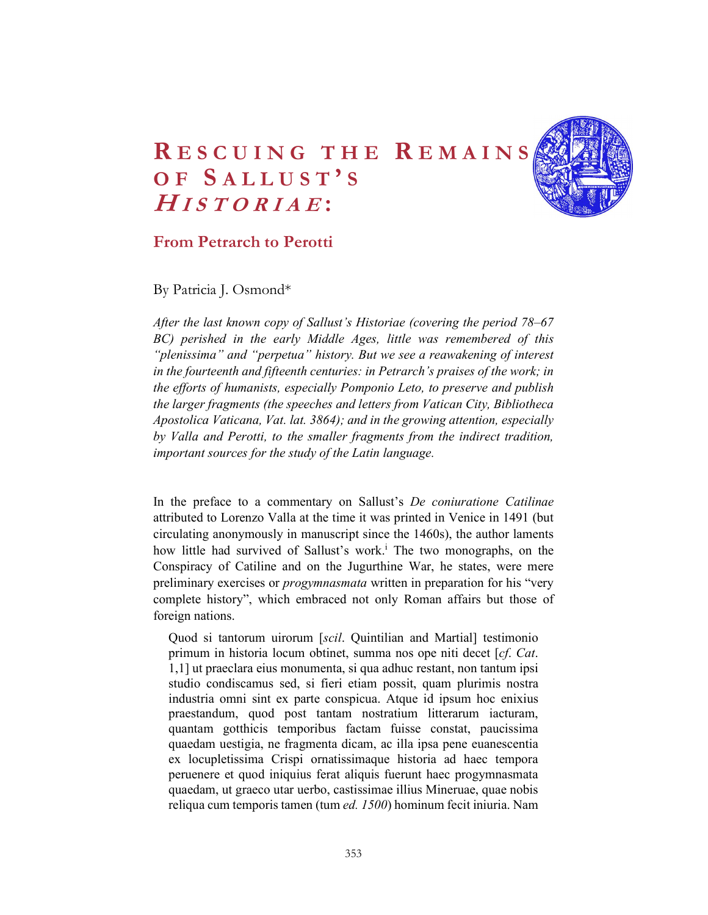## RESCUING THE REMAINS<br>OF SALLUST'S<br>*HISTORIAE*:<br>From Petrarch to Perotti RESCUING THE REMAINS<br>
OF SALLUST'S<br>
HISTORIAE:<br>
From Petrarch to Perotti HISTORIAE: ESCUING THE REMAINS<br>
IS ALLUST'S<br>
IS TORIAE:<br>
m Petrarch to Perotti<br>
atricia J. Osmond\*



## From Petrarch to Perotti

By Patricia J. Osmond\*

After the last known copy of Sallust's Historiae (covering the period 78–67 BC) perished in the early Middle Ages, little was remembered of this "plenissima" and "perpetua" history. But we see a reawakening of interest in the fourteenth and fifteenth centuries: in Petrarch's praises of the work; in the efforts of humanists, especially Pomponio Leto, to preserve and publish the larger fragments (the speeches and letters from Vatican City, Bibliotheca Apostolica Vaticana, Vat. lat. 3864); and in the growing attention, especially by Valla and Perotti, to the smaller fragments from the indirect tradition, important sources for the study of the Latin language.

In the preface to a commentary on Sallust's De coniuratione Catilinae attributed to Lorenzo Valla at the time it was printed in Venice in 1491 (but circulating anonymously in manuscript since the 1460s), the author laments how little had survived of Sallust's work.<sup>i</sup> The two monographs, on the Conspiracy of Catiline and on the Jugurthine War, he states, were mere preliminary exercises or *progymnasmata* written in preparation for his "very complete history", which embraced not only Roman affairs but those of foreign nations.

Quod si tantorum uirorum [scil. Quintilian and Martial] testimonio primum in historia locum obtinet, summa nos ope niti decet [*cf. Cat.* 1,1] ut praeclara eius monumenta, si qua adhuc restant, non tantum ipsi studio condiscamus sed, si fieri etiam possit, quam plurimis nostra industria omni sint ex parte conspicua. Atque id ipsum hoc enixius praestandum, quod post tantam nostratium litterarum iacturam, quantam gotthicis temporibus factam fuisse constat, paucissima quaedam uestigia, ne fragmenta dicam, ac illa ipsa pene euanescentia ex locupletissima Crispi ornatissimaque historia ad haec tempora peruenere et quod iniquius ferat aliquis fuerunt haec progymnasmata quaedam, ut graeco utar uerbo, castissimae illius Mineruae, quae nobis reliqua cum temporis tamen (tum ed. 1500) hominum fecit iniuria. Nam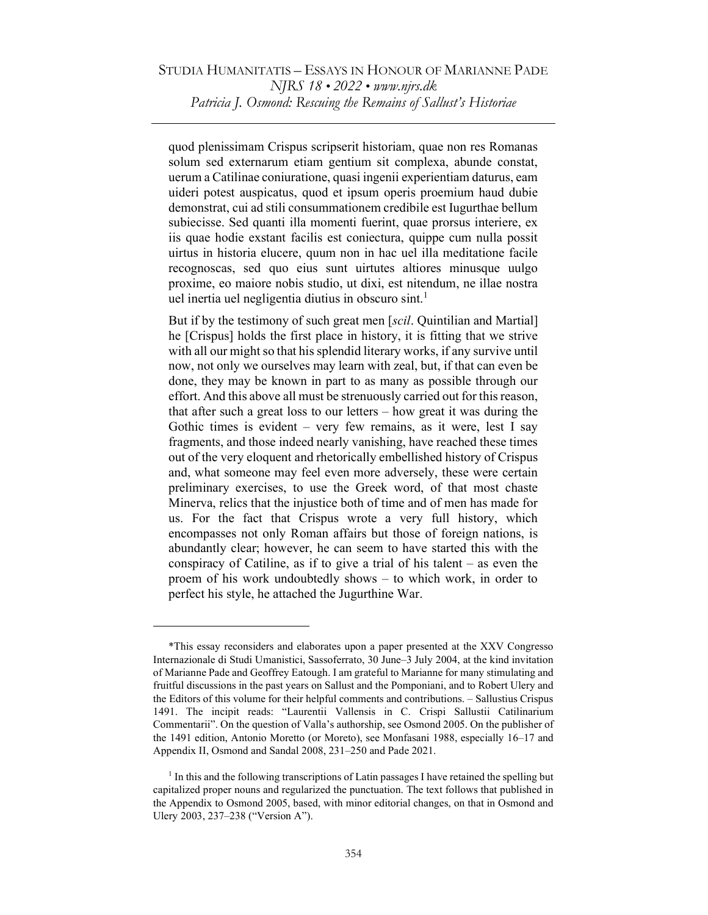quod plenissimam Crispus scripserit historiam, quae non res Romanas solum sed externarum etiam gentium sit complexa, abunde constat, uerum a Catilinae coniuratione, quasi ingenii experientiam daturus, eam uideri potest auspicatus, quod et ipsum operis proemium haud dubie demonstrat, cui ad stili consummationem credibile est Iugurthae bellum subiecisse. Sed quanti illa momenti fuerint, quae prorsus interiere, ex iis quae hodie exstant facilis est coniectura, quippe cum nulla possit uirtus in historia elucere, quum non in hac uel illa meditatione facile recognoscas, sed quo eius sunt uirtutes altiores minusque uulgo proxime, eo maiore nobis studio, ut dixi, est nitendum, ne illae nostra uel inertia uel negligentia diutius in obscuro sint.<sup>1</sup>

But if by the testimony of such great men [scil. Quintilian and Martial] he [Crispus] holds the first place in history, it is fitting that we strive with all our might so that his splendid literary works, if any survive until now, not only we ourselves may learn with zeal, but, if that can even be done, they may be known in part to as many as possible through our effort. And this above all must be strenuously carried out for this reason, that after such a great loss to our letters – how great it was during the Gothic times is evident – very few remains, as it were, lest I say fragments, and those indeed nearly vanishing, have reached these times out of the very eloquent and rhetorically embellished history of Crispus and, what someone may feel even more adversely, these were certain preliminary exercises, to use the Greek word, of that most chaste Minerva, relics that the injustice both of time and of men has made for us. For the fact that Crispus wrote a very full history, which encompasses not only Roman affairs but those of foreign nations, is abundantly clear; however, he can seem to have started this with the conspiracy of Catiline, as if to give a trial of his talent – as even the proem of his work undoubtedly shows – to which work, in order to perfect his style, he attached the Jugurthine War.

<sup>\*</sup>This essay reconsiders and elaborates upon a paper presented at the XXV Congresso Internazionale di Studi Umanistici, Sassoferrato, 30 June–3 July 2004, at the kind invitation of Marianne Pade and Geoffrey Eatough. I am grateful to Marianne for many stimulating and fruitful discussions in the past years on Sallust and the Pomponiani, and to Robert Ulery and the Editors of this volume for their helpful comments and contributions. – Sallustius Crispus 1491. The incipit reads: "Laurentii Vallensis in C. Crispi Sallustii Catilinarium Commentarii". On the question of Valla's authorship, see Osmond 2005. On the publisher of the 1491 edition, Antonio Moretto (or Moreto), see Monfasani 1988, especially 16–17 and Appendix II, Osmond and Sandal 2008, 231–250 and Pade 2021.

<sup>&</sup>lt;sup>1</sup> In this and the following transcriptions of Latin passages I have retained the spelling but capitalized proper nouns and regularized the punctuation. The text follows that published in the Appendix to Osmond 2005, based, with minor editorial changes, on that in Osmond and Ulery 2003, 237–238 ("Version A").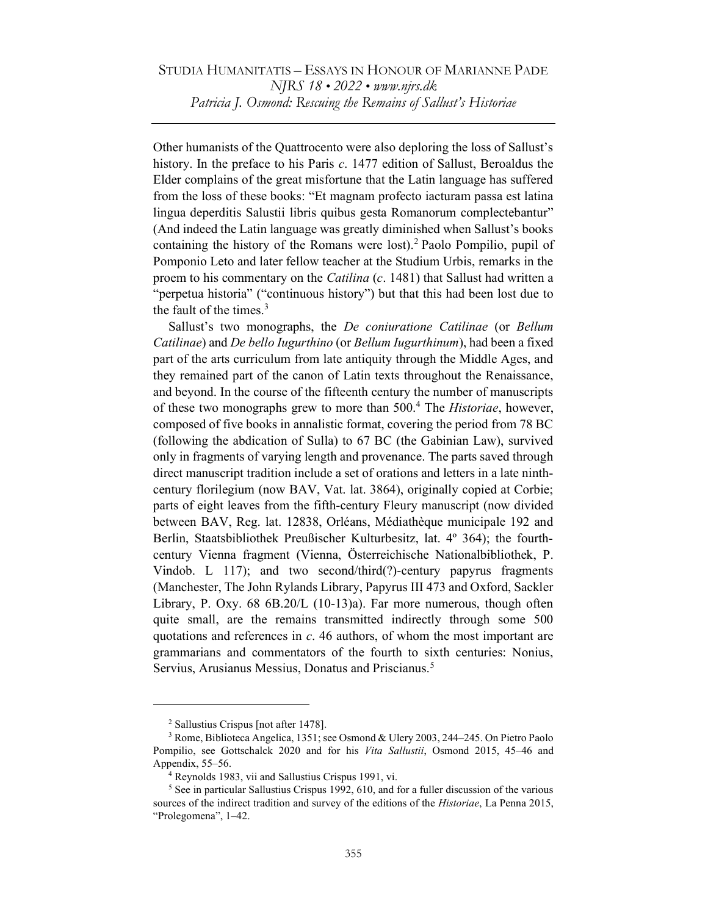Other humanists of the Quattrocento were also deploring the loss of Sallust's history. In the preface to his Paris c. 1477 edition of Sallust, Beroaldus the Elder complains of the great misfortune that the Latin language has suffered from the loss of these books: "Et magnam profecto iacturam passa est latina lingua deperditis Salustii libris quibus gesta Romanorum complectebantur" (And indeed the Latin language was greatly diminished when Sallust's books containing the history of the Romans were lost).<sup>2</sup> Paolo Pompilio, pupil of Pomponio Leto and later fellow teacher at the Studium Urbis, remarks in the proem to his commentary on the *Catilina* (c. 1481) that Sallust had written a "perpetua historia" ("continuous history") but that this had been lost due to the fault of the times. $3$ 

Sallust's two monographs, the De coniuratione Catilinae (or Bellum Catilinae) and De bello Iugurthino (or Bellum Iugurthinum), had been a fixed part of the arts curriculum from late antiquity through the Middle Ages, and they remained part of the canon of Latin texts throughout the Renaissance, and beyond. In the course of the fifteenth century the number of manuscripts of these two monographs grew to more than 500.<sup>4</sup> The *Historiae*, however, composed of five books in annalistic format, covering the period from 78 BC (following the abdication of Sulla) to 67 BC (the Gabinian Law), survived only in fragments of varying length and provenance. The parts saved through direct manuscript tradition include a set of orations and letters in a late ninthcentury florilegium (now BAV, Vat. lat. 3864), originally copied at Corbie; parts of eight leaves from the fifth-century Fleury manuscript (now divided between BAV, Reg. lat. 12838, Orléans, Médiathèque municipale 192 and Berlin, Staatsbibliothek Preußischer Kulturbesitz, lat. 4º 364); the fourthcentury Vienna fragment (Vienna, Österreichische Nationalbibliothek, P. Vindob. L 117); and two second/third(?)-century papyrus fragments (Manchester, The John Rylands Library, Papyrus III 473 and Oxford, Sackler Library, P. Oxy. 68 6B.20/L (10-13)a). Far more numerous, though often quite small, are the remains transmitted indirectly through some 500 quotations and references in  $c$ . 46 authors, of whom the most important are grammarians and commentators of the fourth to sixth centuries: Nonius, Servius, Arusianus Messius, Donatus and Priscianus.<sup>5</sup>

<sup>2</sup> Sallustius Crispus [not after 1478].

<sup>&</sup>lt;sup>3</sup> Rome, Biblioteca Angelica, 1351; see Osmond & Ulery 2003, 244–245. On Pietro Paolo Pompilio, see Gottschalck 2020 and for his Vita Sallustii, Osmond 2015, 45–46 and Appendix, 55–56.

<sup>4</sup> Reynolds 1983, vii and Sallustius Crispus 1991, vi.

<sup>&</sup>lt;sup>5</sup> See in particular Sallustius Crispus 1992, 610, and for a fuller discussion of the various sources of the indirect tradition and survey of the editions of the Historiae, La Penna 2015, "Prolegomena", 1–42.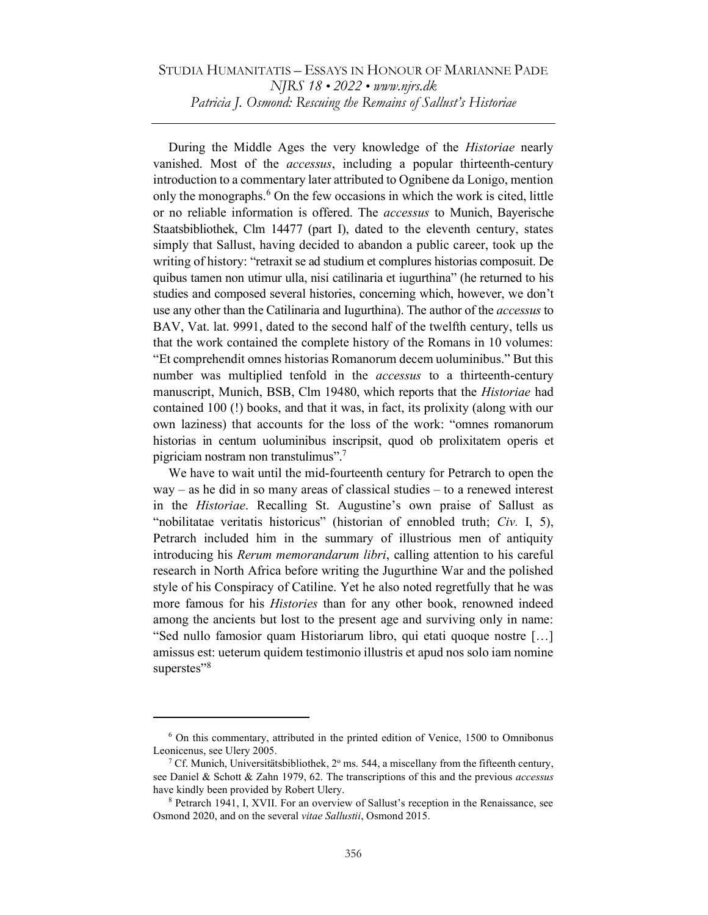## STUDIA HUMANITATIS – ESSAYS IN HONOUR OF MARIANNE PADE NJRS 18 • 2022 • www.njrs.dk Patricia J. Osmond: Rescuing the Remains of Sallust's Historiae

During the Middle Ages the very knowledge of the Historiae nearly vanished. Most of the accessus, including a popular thirteenth-century introduction to a commentary later attributed to Ognibene da Lonigo, mention only the monographs.<sup>6</sup> On the few occasions in which the work is cited, little or no reliable information is offered. The accessus to Munich, Bayerische Staatsbibliothek, Clm 14477 (part I), dated to the eleventh century, states simply that Sallust, having decided to abandon a public career, took up the writing of history: "retraxit se ad studium et complures historias composuit. De quibus tamen non utimur ulla, nisi catilinaria et iugurthina" (he returned to his studies and composed several histories, concerning which, however, we don't use any other than the Catilinaria and Iugurthina). The author of the *accessus* to BAV, Vat. lat. 9991, dated to the second half of the twelfth century, tells us that the work contained the complete history of the Romans in 10 volumes: "Et comprehendit omnes historias Romanorum decem uoluminibus." But this number was multiplied tenfold in the accessus to a thirteenth-century manuscript, Munich, BSB, Clm 19480, which reports that the *Historiae* had contained 100 (!) books, and that it was, in fact, its prolixity (along with our own laziness) that accounts for the loss of the work: "omnes romanorum historias in centum uoluminibus inscripsit, quod ob prolixitatem operis et pigriciam nostram non transtulimus".<sup>7</sup>

We have to wait until the mid-fourteenth century for Petrarch to open the  $way - as he did in so many areas of classical studies - to a renewed interest$ in the Historiae. Recalling St. Augustine's own praise of Sallust as "nobilitatae veritatis historicus" (historian of ennobled truth; Civ. I, 5), Petrarch included him in the summary of illustrious men of antiquity introducing his *Rerum memorandarum libri*, calling attention to his careful research in North Africa before writing the Jugurthine War and the polished style of his Conspiracy of Catiline. Yet he also noted regretfully that he was more famous for his Histories than for any other book, renowned indeed among the ancients but lost to the present age and surviving only in name: "Sed nullo famosior quam Historiarum libro, qui etati quoque nostre […] amissus est: ueterum quidem testimonio illustris et apud nos solo iam nomine superstes"<sup>8</sup>

<sup>&</sup>lt;sup>6</sup> On this commentary, attributed in the printed edition of Venice, 1500 to Omnibonus Leonicenus, see Ulery 2005.

<sup>&</sup>lt;sup>7</sup> Cf. Munich, Universitätsbibliothek, 2 $\degree$  ms. 544, a miscellany from the fifteenth century, see Daniel & Schott & Zahn 1979, 62. The transcriptions of this and the previous *accessus* have kindly been provided by Robert Ulery.

<sup>&</sup>lt;sup>8</sup> Petrarch 1941, I, XVII. For an overview of Sallust's reception in the Renaissance, see Osmond 2020, and on the several vitae Sallustii, Osmond 2015.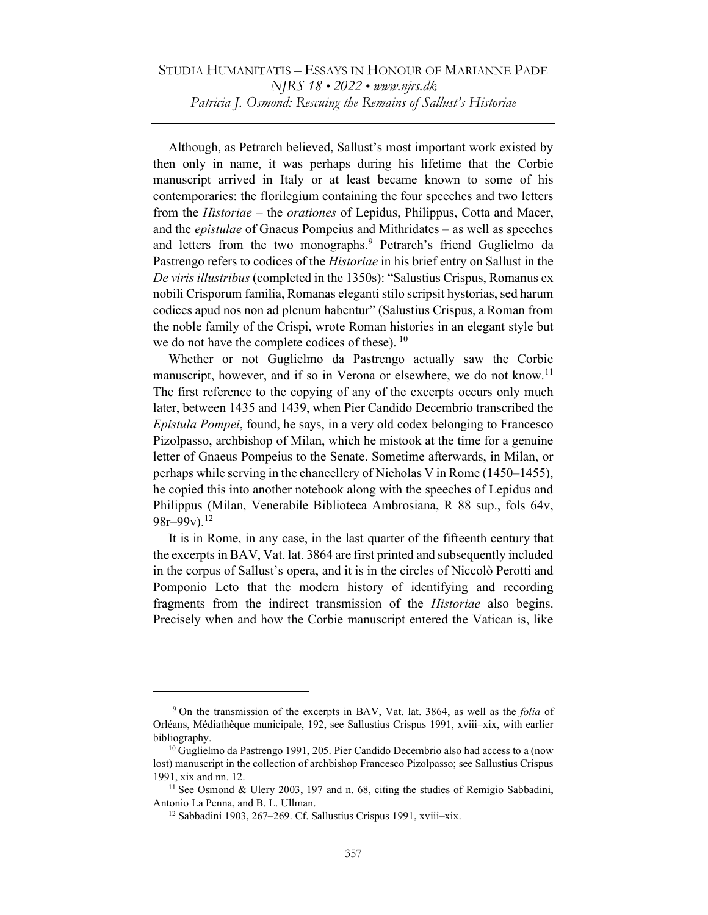Although, as Petrarch believed, Sallust's most important work existed by then only in name, it was perhaps during his lifetime that the Corbie manuscript arrived in Italy or at least became known to some of his contemporaries: the florilegium containing the four speeches and two letters from the *Historiae* – the *orationes* of Lepidus, Philippus, Cotta and Macer, and the epistulae of Gnaeus Pompeius and Mithridates – as well as speeches and letters from the two monographs.<sup>9</sup> Petrarch's friend Guglielmo da Pastrengo refers to codices of the Historiae in his brief entry on Sallust in the De viris illustribus (completed in the 1350s): "Salustius Crispus, Romanus ex nobili Crisporum familia, Romanas eleganti stilo scripsit hystorias, sed harum codices apud nos non ad plenum habentur" (Salustius Crispus, a Roman from the noble family of the Crispi, wrote Roman histories in an elegant style but we do not have the complete codices of these).  $10$ 

Whether or not Guglielmo da Pastrengo actually saw the Corbie manuscript, however, and if so in Verona or elsewhere, we do not know.<sup>11</sup> The first reference to the copying of any of the excerpts occurs only much later, between 1435 and 1439, when Pier Candido Decembrio transcribed the Epistula Pompei, found, he says, in a very old codex belonging to Francesco Pizolpasso, archbishop of Milan, which he mistook at the time for a genuine letter of Gnaeus Pompeius to the Senate. Sometime afterwards, in Milan, or perhaps while serving in the chancellery of Nicholas V in Rome (1450–1455), he copied this into another notebook along with the speeches of Lepidus and Philippus (Milan, Venerabile Biblioteca Ambrosiana, R 88 sup., fols 64v,  $98r-99v$ ).<sup>12</sup>

It is in Rome, in any case, in the last quarter of the fifteenth century that the excerpts in BAV, Vat. lat. 3864 are first printed and subsequently included in the corpus of Sallust's opera, and it is in the circles of Niccolò Perotti and Pomponio Leto that the modern history of identifying and recording fragments from the indirect transmission of the Historiae also begins. Precisely when and how the Corbie manuscript entered the Vatican is, like

<sup>&</sup>lt;sup>9</sup> On the transmission of the excerpts in BAV, Vat. lat. 3864, as well as the *folia* of Orléans, Médiathèque municipale, 192, see Sallustius Crispus 1991, xviii–xix, with earlier bibliography.

<sup>&</sup>lt;sup>10</sup> Guglielmo da Pastrengo 1991, 205. Pier Candido Decembrio also had access to a (now lost) manuscript in the collection of archbishop Francesco Pizolpasso; see Sallustius Crispus 1991, xix and nn. 12.

 $11$  See Osmond & Ulery 2003, 197 and n. 68, citing the studies of Remigio Sabbadini, Antonio La Penna, and B. L. Ullman.

<sup>12</sup> Sabbadini 1903, 267–269. Cf. Sallustius Crispus 1991, xviii–xix.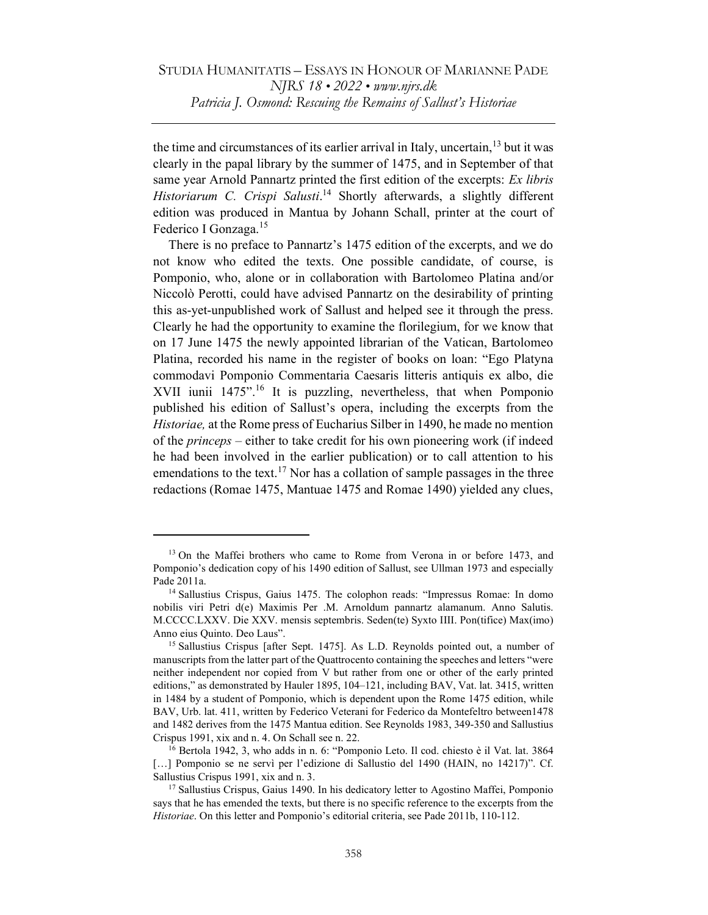the time and circumstances of its earlier arrival in Italy, uncertain,<sup>13</sup> but it was clearly in the papal library by the summer of 1475, and in September of that same year Arnold Pannartz printed the first edition of the excerpts: Ex libris Historiarum C. Crispi Salusti.<sup>14</sup> Shortly afterwards, a slightly different edition was produced in Mantua by Johann Schall, printer at the court of Federico I Gonzaga.<sup>15</sup>

There is no preface to Pannartz's 1475 edition of the excerpts, and we do not know who edited the texts. One possible candidate, of course, is Pomponio, who, alone or in collaboration with Bartolomeo Platina and/or Niccolò Perotti, could have advised Pannartz on the desirability of printing this as-yet-unpublished work of Sallust and helped see it through the press. Clearly he had the opportunity to examine the florilegium, for we know that on 17 June 1475 the newly appointed librarian of the Vatican, Bartolomeo Platina, recorded his name in the register of books on loan: "Ego Platyna commodavi Pomponio Commentaria Caesaris litteris antiquis ex albo, die XVII iunii 1475".<sup>16</sup> It is puzzling, nevertheless, that when Pomponio published his edition of Sallust's opera, including the excerpts from the Historiae, at the Rome press of Eucharius Silber in 1490, he made no mention of the princeps – either to take credit for his own pioneering work (if indeed he had been involved in the earlier publication) or to call attention to his emendations to the text.<sup>17</sup> Nor has a collation of sample passages in the three redactions (Romae 1475, Mantuae 1475 and Romae 1490) yielded any clues,

<sup>&</sup>lt;sup>13</sup> On the Maffei brothers who came to Rome from Verona in or before 1473, and Pomponio's dedication copy of his 1490 edition of Sallust, see Ullman 1973 and especially Pade 2011a.

<sup>14</sup> Sallustius Crispus, Gaius 1475. The colophon reads: "Impressus Romae: In domo nobilis viri Petri d(e) Maximis Per .M. Arnoldum pannartz alamanum. Anno Salutis. M.CCCC.LXXV. Die XXV. mensis septembris. Seden(te) Syxto IIII. Pon(tifice) Max(imo) Anno eius Quinto. Deo Laus".

<sup>15</sup> Sallustius Crispus [after Sept. 1475]. As L.D. Reynolds pointed out, a number of manuscripts from the latter part of the Quattrocento containing the speeches and letters "were neither independent nor copied from V but rather from one or other of the early printed editions," as demonstrated by Hauler 1895, 104–121, including BAV, Vat. lat. 3415, written in 1484 by a student of Pomponio, which is dependent upon the Rome 1475 edition, while BAV, Urb. lat. 411, written by Federico Veterani for Federico da Montefeltro between1478 and 1482 derives from the 1475 Mantua edition. See Reynolds 1983, 349-350 and Sallustius Crispus 1991, xix and n. 4. On Schall see n. 22.

<sup>16</sup> Bertola 1942, 3, who adds in n. 6: "Pomponio Leto. Il cod. chiesto è il Vat. lat. 3864 [...] Pomponio se ne servì per l'edizione di Sallustio del 1490 (HAIN, no 14217)". Cf. Sallustius Crispus 1991, xix and n. 3.

<sup>&</sup>lt;sup>17</sup> Sallustius Crispus, Gaius 1490. In his dedicatory letter to Agostino Maffei, Pomponio says that he has emended the texts, but there is no specific reference to the excerpts from the Historiae. On this letter and Pomponio's editorial criteria, see Pade 2011b, 110-112.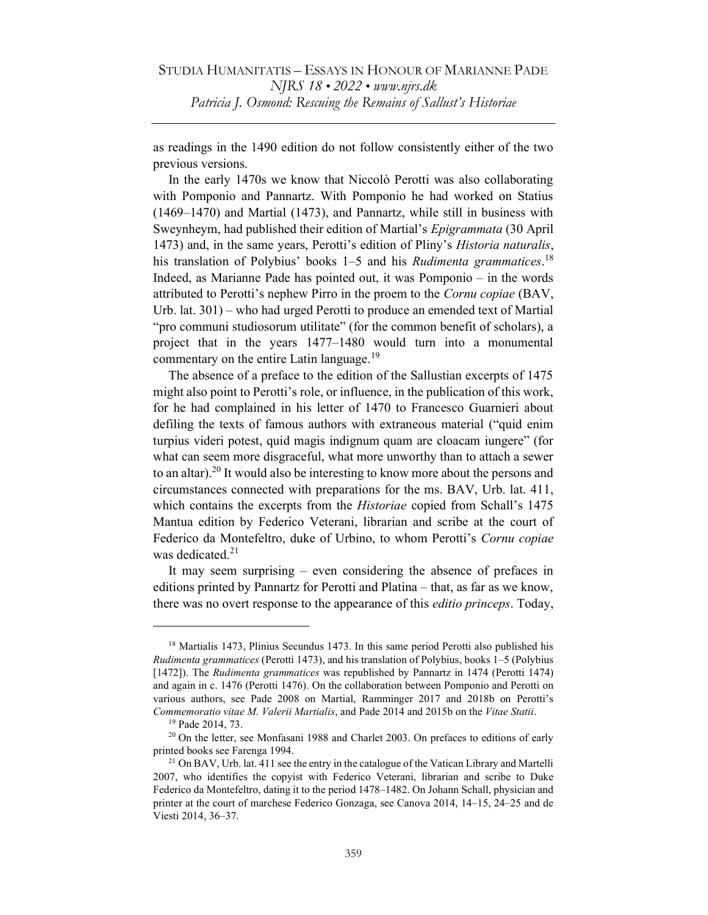as readings in the 1490 edition do not follow consistently either of the two previous versions.

In the early 1470s we know that Niccolò Perotti was also collaborating with Pomponio and Pannartz. With Pomponio he had worked on Statius (1469–1470) and Martial (1473), and Pannartz, while still in business with Sweynheym, had published their edition of Martial's Epigrammata (30 April 1473) and, in the same years, Perotti's edition of Pliny's Historia naturalis, his translation of Polybius' books 1–5 and his Rudimenta grammatices.<sup>18</sup> Indeed, as Marianne Pade has pointed out, it was Pomponio – in the words attributed to Perotti's nephew Pirro in the proem to the Cornu copiae (BAV, Urb. lat. 301) – who had urged Perotti to produce an emended text of Martial "pro communi studiosorum utilitate" (for the common benefit of scholars), a project that in the years 1477–1480 would turn into a monumental commentary on the entire Latin language.<sup>19</sup>

The absence of a preface to the edition of the Sallustian excerpts of 1475 might also point to Perotti's role, or influence, in the publication of this work, for he had complained in his letter of 1470 to Francesco Guarnieri about defiling the texts of famous authors with extraneous material ("quid enim turpius videri potest, quid magis indignum quam are cloacam iungere" (for what can seem more disgraceful, what more unworthy than to attach a sewer to an altar).<sup>20</sup> It would also be interesting to know more about the persons and circumstances connected with preparations for the ms. BAV, Urb. lat. 411, which contains the excerpts from the *Historiae* copied from Schall's 1475 Mantua edition by Federico Veterani, librarian and scribe at the court of Federico da Montefeltro, duke of Urbino, to whom Perotti's Cornu copiae was dedicated. $21$ 

It may seem surprising – even considering the absence of prefaces in editions printed by Pannartz for Perotti and Platina – that, as far as we know, there was no overt response to the appearance of this *editio princeps*. Today,

<sup>&</sup>lt;sup>18</sup> Martialis 1473, Plinius Secundus 1473. In this same period Perotti also published his Rudimenta grammatices (Perotti 1473), and his translation of Polybius, books 1–5 (Polybius [1472]). The Rudimenta grammatices was republished by Pannartz in 1474 (Perotti 1474) and again in c. 1476 (Perotti 1476). On the collaboration between Pomponio and Perotti on various authors, see Pade 2008 on Martial, Ramminger 2017 and 2018b on Perotti's Commemoratio vitae M. Valerii Martialis, and Pade 2014 and 2015b on the Vitae Statii.

<sup>19</sup> Pade 2014, 73.

<sup>&</sup>lt;sup>20</sup> On the letter, see Monfasani 1988 and Charlet 2003. On prefaces to editions of early printed books see Farenga 1994.

 $21$  On BAV, Urb. lat. 411 see the entry in the catalogue of the Vatican Library and Martelli 2007, who identifies the copyist with Federico Veterani, librarian and scribe to Duke Federico da Montefeltro, dating it to the period 1478–1482. On Johann Schall, physician and printer at the court of marchese Federico Gonzaga, see Canova 2014, 14–15, 24–25 and de Viesti 2014, 36–37.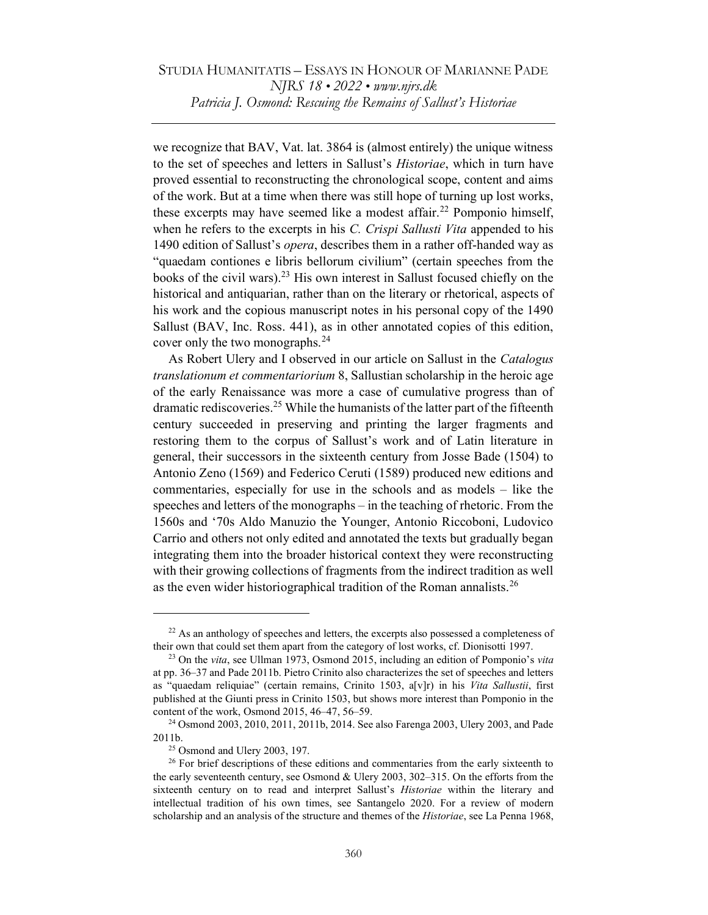we recognize that BAV, Vat. lat. 3864 is (almost entirely) the unique witness to the set of speeches and letters in Sallust's Historiae, which in turn have proved essential to reconstructing the chronological scope, content and aims of the work. But at a time when there was still hope of turning up lost works, these excerpts may have seemed like a modest affair.<sup>22</sup> Pomponio himself, when he refers to the excerpts in his C. Crispi Sallusti Vita appended to his 1490 edition of Sallust's opera, describes them in a rather off-handed way as "quaedam contiones e libris bellorum civilium" (certain speeches from the books of the civil wars).<sup>23</sup> His own interest in Sallust focused chiefly on the historical and antiquarian, rather than on the literary or rhetorical, aspects of his work and the copious manuscript notes in his personal copy of the 1490 Sallust (BAV, Inc. Ross. 441), as in other annotated copies of this edition, cover only the two monographs.<sup>24</sup>

As Robert Ulery and I observed in our article on Sallust in the Catalogus translationum et commentariorium 8, Sallustian scholarship in the heroic age of the early Renaissance was more a case of cumulative progress than of dramatic rediscoveries.<sup>25</sup> While the humanists of the latter part of the fifteenth century succeeded in preserving and printing the larger fragments and restoring them to the corpus of Sallust's work and of Latin literature in general, their successors in the sixteenth century from Josse Bade (1504) to Antonio Zeno (1569) and Federico Ceruti (1589) produced new editions and commentaries, especially for use in the schools and as models – like the speeches and letters of the monographs – in the teaching of rhetoric. From the 1560s and '70s Aldo Manuzio the Younger, Antonio Riccoboni, Ludovico Carrio and others not only edited and annotated the texts but gradually began integrating them into the broader historical context they were reconstructing with their growing collections of fragments from the indirect tradition as well as the even wider historiographical tradition of the Roman annalists.<sup>26</sup>

 $22$  As an anthology of speeches and letters, the excerpts also possessed a completeness of their own that could set them apart from the category of lost works, cf. Dionisotti 1997.

 $23$  On the vita, see Ullman 1973, Osmond 2015, including an edition of Pomponio's vita at pp. 36–37 and Pade 2011b. Pietro Crinito also characterizes the set of speeches and letters as "quaedam reliquiae" (certain remains, Crinito 1503, a[v]r) in his Vita Sallustii, first published at the Giunti press in Crinito 1503, but shows more interest than Pomponio in the content of the work, Osmond 2015, 46–47, 56–59.

<sup>24</sup> Osmond 2003, 2010, 2011, 2011b, 2014. See also Farenga 2003, Ulery 2003, and Pade 2011b.

 $25$  Osmond and Ulery 2003, 197.

<sup>&</sup>lt;sup>26</sup> For brief descriptions of these editions and commentaries from the early sixteenth to the early seventeenth century, see Osmond & Ulery 2003, 302–315. On the efforts from the sixteenth century on to read and interpret Sallust's *Historiae* within the literary and intellectual tradition of his own times, see Santangelo 2020. For a review of modern scholarship and an analysis of the structure and themes of the *Historiae*, see La Penna 1968,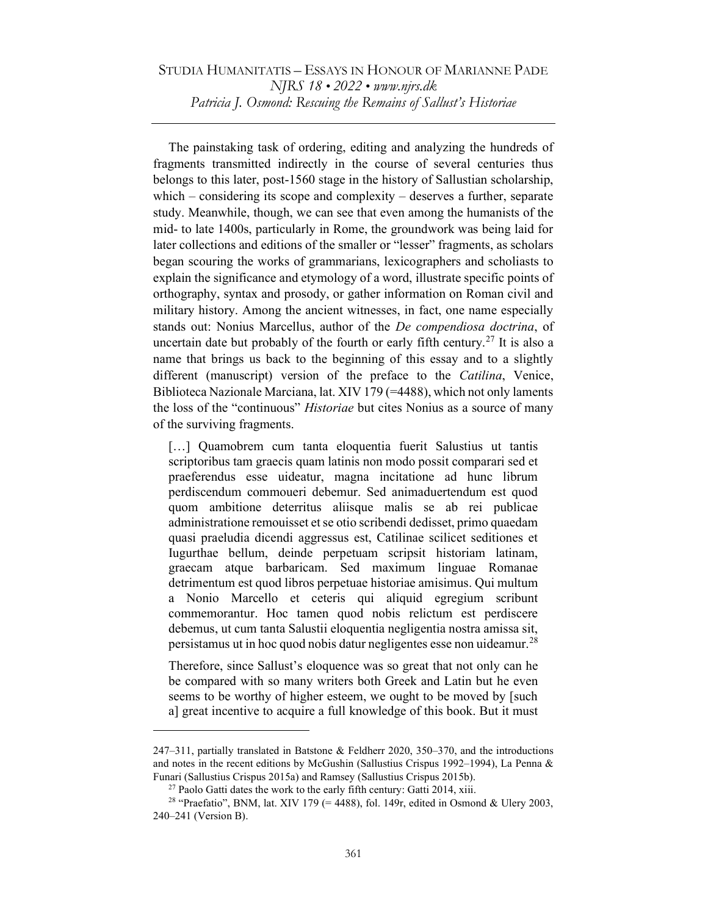The painstaking task of ordering, editing and analyzing the hundreds of fragments transmitted indirectly in the course of several centuries thus belongs to this later, post-1560 stage in the history of Sallustian scholarship, which – considering its scope and complexity – deserves a further, separate study. Meanwhile, though, we can see that even among the humanists of the mid- to late 1400s, particularly in Rome, the groundwork was being laid for later collections and editions of the smaller or "lesser" fragments, as scholars began scouring the works of grammarians, lexicographers and scholiasts to explain the significance and etymology of a word, illustrate specific points of orthography, syntax and prosody, or gather information on Roman civil and military history. Among the ancient witnesses, in fact, one name especially stands out: Nonius Marcellus, author of the De compendiosa doctrina, of uncertain date but probably of the fourth or early fifth century.<sup>27</sup> It is also a name that brings us back to the beginning of this essay and to a slightly different (manuscript) version of the preface to the Catilina, Venice, Biblioteca Nazionale Marciana, lat. XIV 179 (=4488), which not only laments the loss of the "continuous" Historiae but cites Nonius as a source of many of the surviving fragments.

[...] Quamobrem cum tanta eloquentia fuerit Salustius ut tantis scriptoribus tam graecis quam latinis non modo possit comparari sed et praeferendus esse uideatur, magna incitatione ad hunc librum perdiscendum commoueri debemur. Sed animaduertendum est quod quom ambitione deterritus aliisque malis se ab rei publicae administratione remouisset et se otio scribendi dedisset, primo quaedam quasi praeludia dicendi aggressus est, Catilinae scilicet seditiones et Iugurthae bellum, deinde perpetuam scripsit historiam latinam, graecam atque barbaricam. Sed maximum linguae Romanae detrimentum est quod libros perpetuae historiae amisimus. Qui multum a Nonio Marcello et ceteris qui aliquid egregium scribunt commemorantur. Hoc tamen quod nobis relictum est perdiscere debemus, ut cum tanta Salustii eloquentia negligentia nostra amissa sit, persistamus ut in hoc quod nobis datur negligentes esse non uideamur.<sup>28</sup>

Therefore, since Sallust's eloquence was so great that not only can he be compared with so many writers both Greek and Latin but he even seems to be worthy of higher esteem, we ought to be moved by [such a] great incentive to acquire a full knowledge of this book. But it must

<sup>247–311,</sup> partially translated in Batstone & Feldherr 2020, 350–370, and the introductions and notes in the recent editions by McGushin (Sallustius Crispus 1992–1994), La Penna & Funari (Sallustius Crispus 2015a) and Ramsey (Sallustius Crispus 2015b).

 $^{27}$  Paolo Gatti dates the work to the early fifth century: Gatti 2014, xiii.

<sup>&</sup>lt;sup>28</sup> "Praefatio", BNM, lat. XIV 179 (= 4488), fol. 149r, edited in Osmond & Ulery 2003, 240–241 (Version B).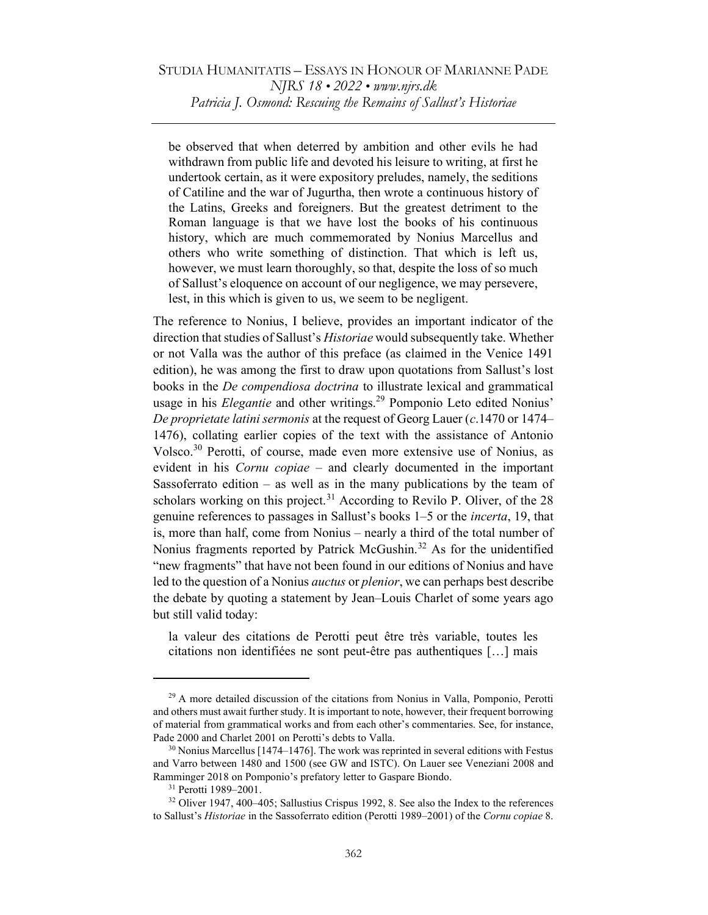be observed that when deterred by ambition and other evils he had withdrawn from public life and devoted his leisure to writing, at first he undertook certain, as it were expository preludes, namely, the seditions of Catiline and the war of Jugurtha, then wrote a continuous history of the Latins, Greeks and foreigners. But the greatest detriment to the Roman language is that we have lost the books of his continuous history, which are much commemorated by Nonius Marcellus and others who write something of distinction. That which is left us, however, we must learn thoroughly, so that, despite the loss of so much of Sallust's eloquence on account of our negligence, we may persevere, lest, in this which is given to us, we seem to be negligent.

The reference to Nonius, I believe, provides an important indicator of the direction that studies of Sallust's Historiae would subsequently take. Whether or not Valla was the author of this preface (as claimed in the Venice 1491 edition), he was among the first to draw upon quotations from Sallust's lost books in the *De compendiosa doctrina* to illustrate lexical and grammatical usage in his Elegantie and other writings.<sup>29</sup> Pomponio Leto edited Nonius' De proprietate latini sermonis at the request of Georg Lauer  $(c.1470 \text{ or } 1474-$ 1476), collating earlier copies of the text with the assistance of Antonio Volsco.<sup>30</sup> Perotti, of course, made even more extensive use of Nonius, as evident in his Cornu copiae – and clearly documented in the important Sassoferrato edition – as well as in the many publications by the team of scholars working on this project.<sup>31</sup> According to Revilo P. Oliver, of the  $28$ genuine references to passages in Sallust's books 1–5 or the incerta, 19, that is, more than half, come from Nonius – nearly a third of the total number of Nonius fragments reported by Patrick McGushin.<sup>32</sup> As for the unidentified "new fragments" that have not been found in our editions of Nonius and have led to the question of a Nonius auctus or plenior, we can perhaps best describe the debate by quoting a statement by Jean–Louis Charlet of some years ago but still valid today:

la valeur des citations de Perotti peut être très variable, toutes les citations non identifiées ne sont peut-être pas authentiques […] mais

<sup>&</sup>lt;sup>29</sup> A more detailed discussion of the citations from Nonius in Valla, Pomponio, Perotti and others must await further study. It is important to note, however, their frequent borrowing of material from grammatical works and from each other's commentaries. See, for instance, Pade 2000 and Charlet 2001 on Perotti's debts to Valla.

 $30$  Nonius Marcellus [1474–1476]. The work was reprinted in several editions with Festus and Varro between 1480 and 1500 (see GW and ISTC). On Lauer see Veneziani 2008 and Ramminger 2018 on Pomponio's prefatory letter to Gaspare Biondo.

<sup>31</sup> Perotti 1989–2001.

<sup>&</sup>lt;sup>32</sup> Oliver 1947, 400–405; Sallustius Crispus 1992, 8. See also the Index to the references to Sallust's *Historiae* in the Sassoferrato edition (Perotti 1989–2001) of the Cornu copiae 8.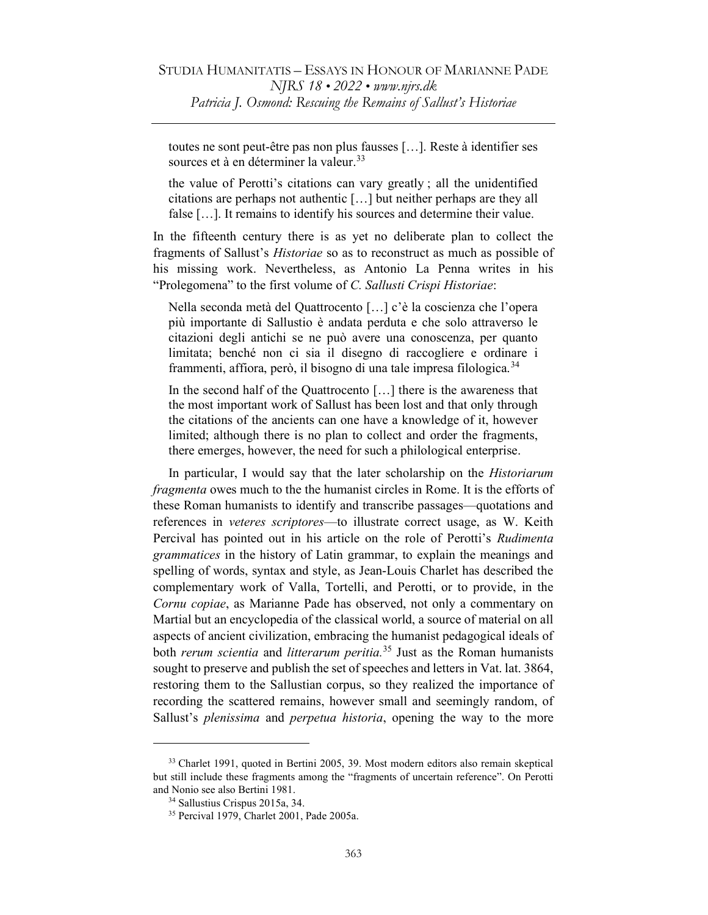toutes ne sont peut-être pas non plus fausses […]. Reste à identifier ses sources et à en déterminer la valeur.<sup>33</sup>

the value of Perotti's citations can vary greatly ; all the unidentified citations are perhaps not authentic […] but neither perhaps are they all false […]. It remains to identify his sources and determine their value.

In the fifteenth century there is as yet no deliberate plan to collect the fragments of Sallust's Historiae so as to reconstruct as much as possible of his missing work. Nevertheless, as Antonio La Penna writes in his "Prolegomena" to the first volume of C. Sallusti Crispi Historiae:

Nella seconda metà del Quattrocento […] c'è la coscienza che l'opera più importante di Sallustio è andata perduta e che solo attraverso le citazioni degli antichi se ne può avere una conoscenza, per quanto limitata; benché non ci sia il disegno di raccogliere e ordinare i frammenti, affiora, però, il bisogno di una tale impresa filologica.<sup>34</sup>

In the second half of the Quattrocento [...] there is the awareness that the most important work of Sallust has been lost and that only through the citations of the ancients can one have a knowledge of it, however limited; although there is no plan to collect and order the fragments, there emerges, however, the need for such a philological enterprise.

In particular, I would say that the later scholarship on the Historiarum fragmenta owes much to the the humanist circles in Rome. It is the efforts of these Roman humanists to identify and transcribe passages—quotations and references in veteres scriptores—to illustrate correct usage, as W. Keith Percival has pointed out in his article on the role of Perotti's Rudimenta grammatices in the history of Latin grammar, to explain the meanings and spelling of words, syntax and style, as Jean-Louis Charlet has described the complementary work of Valla, Tortelli, and Perotti, or to provide, in the Cornu copiae, as Marianne Pade has observed, not only a commentary on Martial but an encyclopedia of the classical world, a source of material on all aspects of ancient civilization, embracing the humanist pedagogical ideals of both *rerum scientia* and *litterarum peritia.*<sup>35</sup> Just as the Roman humanists sought to preserve and publish the set of speeches and letters in Vat. lat. 3864, restoring them to the Sallustian corpus, so they realized the importance of recording the scattered remains, however small and seemingly random, of Sallust's *plenissima* and *perpetua historia*, opening the way to the more

<sup>&</sup>lt;sup>33</sup> Charlet 1991, quoted in Bertini 2005, 39. Most modern editors also remain skeptical but still include these fragments among the "fragments of uncertain reference". On Perotti and Nonio see also Bertini 1981.

<sup>34</sup> Sallustius Crispus 2015a, 34.

<sup>35</sup> Percival 1979, Charlet 2001, Pade 2005a.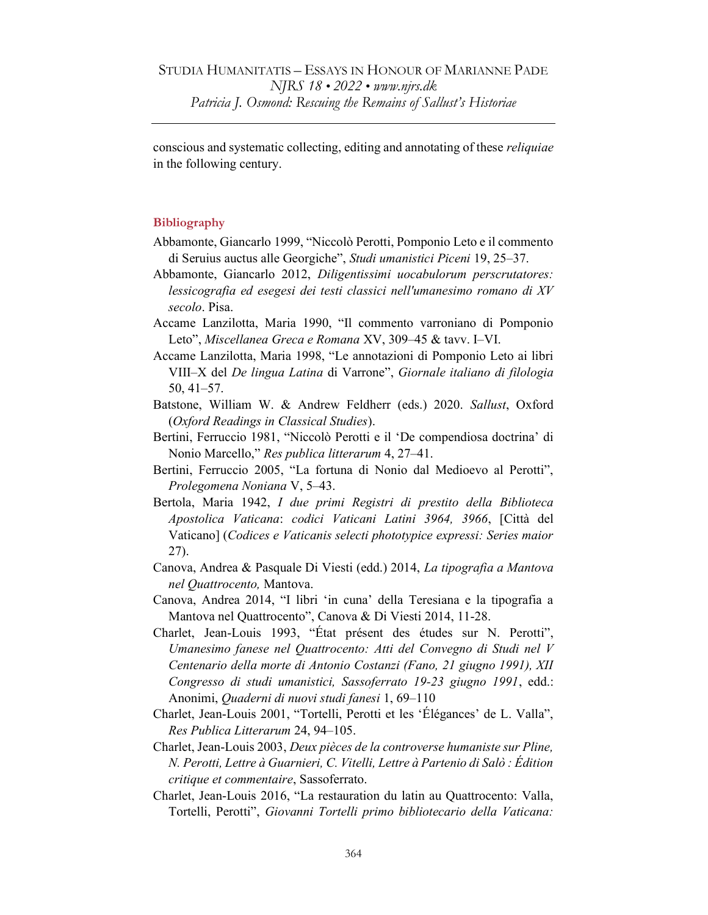conscious and systematic collecting, editing and annotating of these reliquiae in the following century.

## Bibliography

- Abbamonte, Giancarlo 1999, "Niccolò Perotti, Pomponio Leto e il commento di Seruius auctus alle Georgiche", Studi umanistici Piceni 19, 25–37.
- Abbamonte, Giancarlo 2012, Diligentissimi uocabulorum perscrutatores: lessicografia ed esegesi dei testi classici nell'umanesimo romano di XV secolo. Pisa.
- Accame Lanzilotta, Maria 1990, "Il commento varroniano di Pomponio Leto", Miscellanea Greca e Romana XV, 309–45 & tavv. I–VI.
- Accame Lanzilotta, Maria 1998, "Le annotazioni di Pomponio Leto ai libri VIII–X del De lingua Latina di Varrone", Giornale italiano di filologia 50, 41–57.
- Batstone, William W. & Andrew Feldherr (eds.) 2020. Sallust, Oxford (Oxford Readings in Classical Studies).
- Bertini, Ferruccio 1981, "Niccolò Perotti e il 'De compendiosa doctrina' di Nonio Marcello," Res publica litterarum 4, 27–41.
- Bertini, Ferruccio 2005, "La fortuna di Nonio dal Medioevo al Perotti", Prolegomena Noniana V, 5–43.
- Bertola, Maria 1942, I due primi Registri di prestito della Biblioteca Apostolica Vaticana: codici Vaticani Latini 3964, 3966, [Città del Vaticano] (Codices e Vaticanis selecti phototypice expressi: Series maior 27).
- Canova, Andrea & Pasquale Di Viesti (edd.) 2014, La tipografia a Mantova nel Quattrocento, Mantova.
- Canova, Andrea 2014, "I libri 'in cuna' della Teresiana e la tipografia a Mantova nel Quattrocento", Canova & Di Viesti 2014, 11-28.
- Charlet, Jean-Louis 1993, "État présent des études sur N. Perotti", Umanesimo fanese nel Quattrocento: Atti del Convegno di Studi nel V Centenario della morte di Antonio Costanzi (Fano, 21 giugno 1991), XII Congresso di studi umanistici, Sassoferrato 19-23 giugno 1991, edd.: Anonimi, Quaderni di nuovi studi fanesi 1, 69–110
- Charlet, Jean-Louis 2001, "Tortelli, Perotti et les 'Élégances' de L. Valla", Res Publica Litterarum 24, 94–105.
- Charlet, Jean-Louis 2003, Deux pièces de la controverse humaniste sur Pline, N. Perotti, Lettre à Guarnieri, C. Vitelli, Lettre à Partenio di Salò : Édition critique et commentaire, Sassoferrato.
- Charlet, Jean-Louis 2016, "La restauration du latin au Quattrocento: Valla, Tortelli, Perotti", Giovanni Tortelli primo bibliotecario della Vaticana: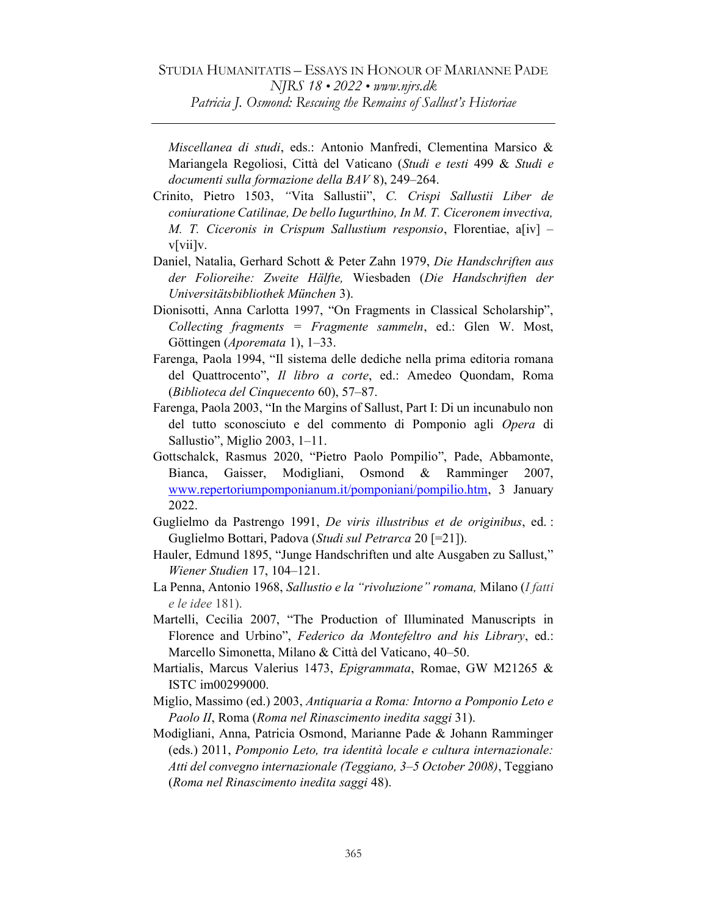Miscellanea di studi, eds.: Antonio Manfredi, Clementina Marsico & Mariangela Regoliosi, Città del Vaticano (Studi e testi 499 & Studi e documenti sulla formazione della BAV 8), 249–264.

- Crinito, Pietro 1503, "Vita Sallustii", C. Crispi Sallustii Liber de coniuratione Catilinae, De bello Iugurthino, In M. T. Ciceronem invectiva, M. T. Ciceronis in Crispum Sallustium responsio, Florentiae, a[iv]  $$ v[vii]v.
- Daniel, Natalia, Gerhard Schott & Peter Zahn 1979, Die Handschriften aus der Folioreihe: Zweite Hälfte, Wiesbaden (Die Handschriften der Universitätsbibliothek München 3).
- Dionisotti, Anna Carlotta 1997, "On Fragments in Classical Scholarship", Collecting fragments = Fragmente sammeln, ed.: Glen W. Most, Göttingen (Aporemata 1), 1–33.
- Farenga, Paola 1994, "Il sistema delle dediche nella prima editoria romana del Quattrocento", Il libro a corte, ed.: Amedeo Quondam, Roma (Biblioteca del Cinquecento 60), 57–87.
- Farenga, Paola 2003, "In the Margins of Sallust, Part I: Di un incunabulo non del tutto sconosciuto e del commento di Pomponio agli Opera di Sallustio", Miglio 2003, 1–11.
- Gottschalck, Rasmus 2020, "Pietro Paolo Pompilio", Pade, Abbamonte, Bianca, Gaisser, Modigliani, Osmond & Ramminger 2007, www.repertoriumpomponianum.it/pomponiani/pompilio.htm, 3 January 2022.
- Guglielmo da Pastrengo 1991, De viris illustribus et de originibus, ed. : Guglielmo Bottari, Padova (Studi sul Petrarca 20 [=21]).
- Hauler, Edmund 1895, "Junge Handschriften und alte Ausgaben zu Sallust," Wiener Studien 17, 104–121.
- La Penna, Antonio 1968, Sallustio e la "rivoluzione" romana, Milano (I fatti e le idee 181).
- Martelli, Cecilia 2007, "The Production of Illuminated Manuscripts in Florence and Urbino", Federico da Montefeltro and his Library, ed.: Marcello Simonetta, Milano & Città del Vaticano, 40–50.
- Martialis, Marcus Valerius 1473, Epigrammata, Romae, GW M21265 & ISTC im00299000.
- Miglio, Massimo (ed.) 2003, Antiquaria a Roma: Intorno a Pomponio Leto e Paolo II, Roma (Roma nel Rinascimento inedita saggi 31).
- Modigliani, Anna, Patricia Osmond, Marianne Pade & Johann Ramminger (eds.) 2011, Pomponio Leto, tra identità locale e cultura internazionale: Atti del convegno internazionale (Teggiano, 3–5 October 2008), Teggiano (Roma nel Rinascimento inedita saggi 48).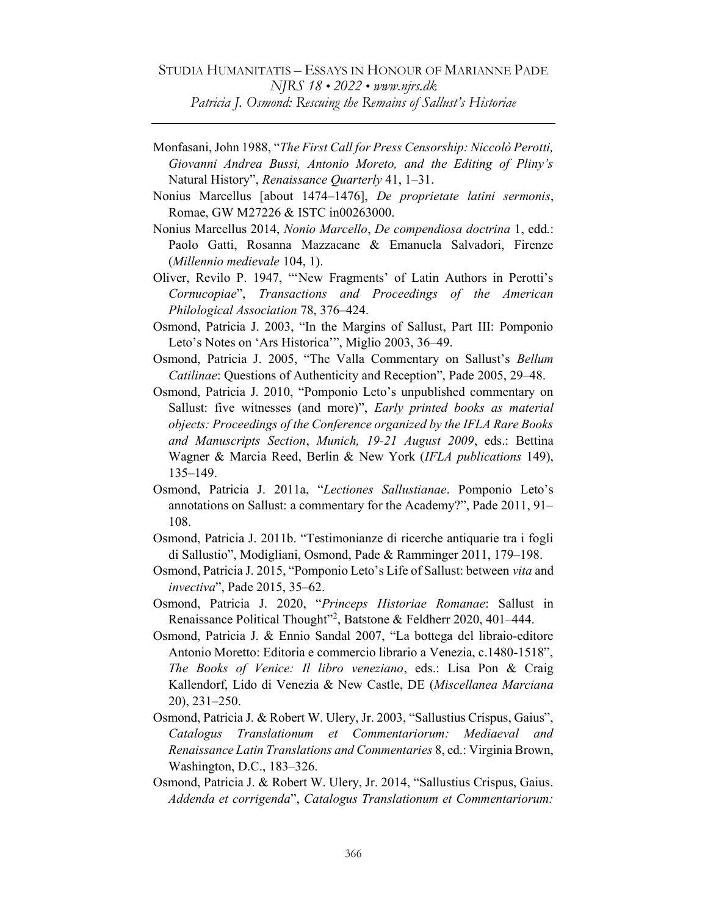Monfasani, John 1988, "The First Call for Press Censorship: Niccolò Perotti, Giovanni Andrea Bussi, Antonio Moreto, and the Editing of Pliny's Natural History", Renaissance Quarterly 41, 1–31.

- Nonius Marcellus [about 1474–1476], De proprietate latini sermonis, Romae, GW M27226 & ISTC in00263000.
- Nonius Marcellus 2014, Nonio Marcello, De compendiosa doctrina 1, edd.: Paolo Gatti, Rosanna Mazzacane & Emanuela Salvadori, Firenze (Millennio medievale 104, 1).
- Oliver, Revilo P. 1947, "ʻNew Fragments' of Latin Authors in Perotti's Cornucopiae", Transactions and Proceedings of the American Philological Association 78, 376–424.
- Osmond, Patricia J. 2003, "In the Margins of Sallust, Part III: Pomponio Leto's Notes on 'Ars Historica'", Miglio 2003, 36–49.
- Osmond, Patricia J. 2005, "The Valla Commentary on Sallust's Bellum Catilinae: Questions of Authenticity and Reception", Pade 2005, 29–48.
- Osmond, Patricia J. 2010, "Pomponio Leto's unpublished commentary on Sallust: five witnesses (and more)", Early printed books as material objects: Proceedings of the Conference organized by the IFLA Rare Books and Manuscripts Section, Munich, 19-21 August 2009, eds.: Bettina Wagner & Marcia Reed, Berlin & New York (IFLA publications 149), 135–149.
- Osmond, Patricia J. 2011a, "Lectiones Sallustianae. Pomponio Leto's annotations on Sallust: a commentary for the Academy?", Pade 2011, 91– 108.
- Osmond, Patricia J. 2011b. "Testimonianze di ricerche antiquarie tra i fogli di Sallustio", Modigliani, Osmond, Pade & Ramminger 2011, 179–198.
- Osmond, Patricia J. 2015, "Pomponio Leto's Life of Sallust: between vita and invectiva", Pade 2015, 35–62.
- Osmond, Patricia J. 2020, "Princeps Historiae Romanae: Sallust in Renaissance Political Thought"<sup>2</sup>, Batstone & Feldherr 2020, 401-444.
- Osmond, Patricia J. & Ennio Sandal 2007, "La bottega del libraio-editore Antonio Moretto: Editoria e commercio librario a Venezia, c.1480-1518", The Books of Venice: Il libro veneziano, eds.: Lisa Pon & Craig Kallendorf, Lido di Venezia & New Castle, DE (Miscellanea Marciana 20), 231–250.
- Osmond, Patricia J. & Robert W. Ulery, Jr. 2003, "Sallustius Crispus, Gaius", Catalogus Translationum et Commentariorum: Mediaeval and Renaissance Latin Translations and Commentaries 8, ed.: Virginia Brown, Washington, D.C., 183–326.
- Osmond, Patricia J. & Robert W. Ulery, Jr. 2014, "Sallustius Crispus, Gaius. Addenda et corrigenda", Catalogus Translationum et Commentariorum: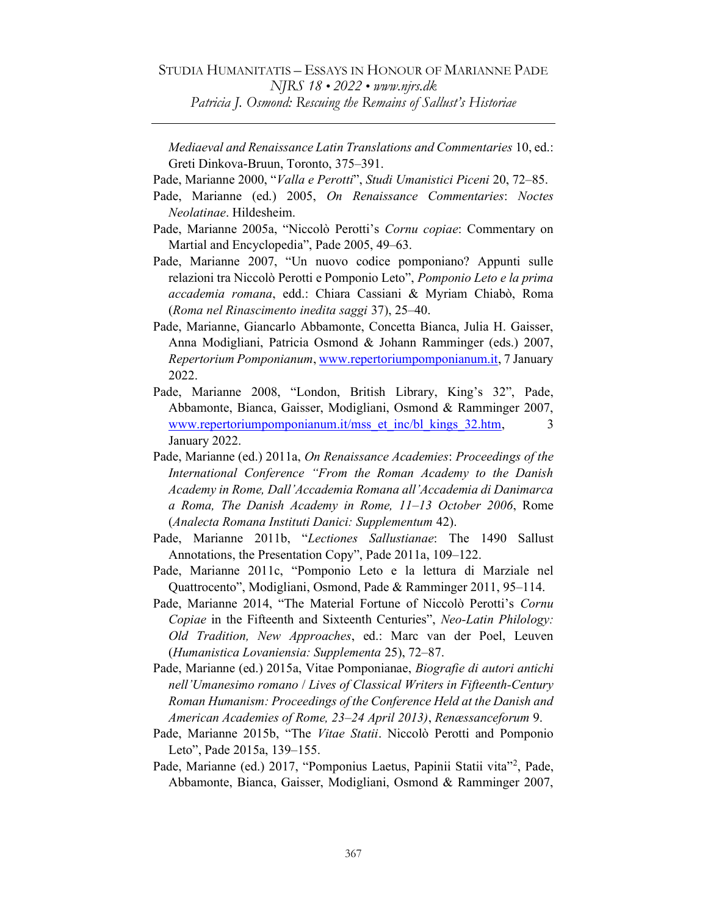Mediaeval and Renaissance Latin Translations and Commentaries 10, ed.: Greti Dinkova-Bruun, Toronto, 375–391.

- Pade, Marianne 2000, "Valla e Perotti", Studi Umanistici Piceni 20, 72–85.
- Pade, Marianne (ed.) 2005, On Renaissance Commentaries: Noctes Neolatinae. Hildesheim.
- Pade, Marianne 2005a, "Niccolò Perotti's Cornu copiae: Commentary on Martial and Encyclopedia", Pade 2005, 49–63.
- Pade, Marianne 2007, "Un nuovo codice pomponiano? Appunti sulle relazioni tra Niccolò Perotti e Pomponio Leto", Pomponio Leto e la prima accademia romana, edd.: Chiara Cassiani & Myriam Chiabò, Roma (Roma nel Rinascimento inedita saggi 37), 25–40.
- Pade, Marianne, Giancarlo Abbamonte, Concetta Bianca, Julia H. Gaisser, Anna Modigliani, Patricia Osmond & Johann Ramminger (eds.) 2007, Repertorium Pomponianum, www.repertoriumpomponianum.it, 7 January 2022.
- Pade, Marianne 2008, "London, British Library, King's 32", Pade, Abbamonte, Bianca, Gaisser, Modigliani, Osmond & Ramminger 2007, www.repertoriumpomponianum.it/mss\_et\_inc/bl\_kings\_32.htm, 3 January 2022.
- Pade, Marianne (ed.) 2011a, On Renaissance Academies: Proceedings of the International Conference "From the Roman Academy to the Danish Academy in Rome, Dall'Accademia Romana all'Accademia di Danimarca a Roma, The Danish Academy in Rome, 11–13 October 2006, Rome (Analecta Romana Instituti Danici: Supplementum 42).
- Pade, Marianne 2011b, "Lectiones Sallustianae: The 1490 Sallust Annotations, the Presentation Copy", Pade 2011a, 109–122.
- Pade, Marianne 2011c, "Pomponio Leto e la lettura di Marziale nel Quattrocento", Modigliani, Osmond, Pade & Ramminger 2011, 95–114.
- Pade, Marianne 2014, "The Material Fortune of Niccolò Perotti's Cornu Copiae in the Fifteenth and Sixteenth Centuries", Neo-Latin Philology: Old Tradition, New Approaches, ed.: Marc van der Poel, Leuven (Humanistica Lovaniensia: Supplementa 25), 72–87.
- Pade, Marianne (ed.) 2015a, Vitae Pomponianae, Biografie di autori antichi nell'Umanesimo romano / Lives of Classical Writers in Fifteenth-Century Roman Humanism: Proceedings of the Conference Held at the Danish and American Academies of Rome, 23–24 April 2013), Renæssanceforum 9.
- Pade, Marianne 2015b, "The Vitae Statii. Niccolò Perotti and Pomponio Leto", Pade 2015a, 139–155.
- Pade, Marianne (ed.) 2017, "Pomponius Laetus, Papinii Statii vita"<sup>2</sup>, Pade, Abbamonte, Bianca, Gaisser, Modigliani, Osmond & Ramminger 2007,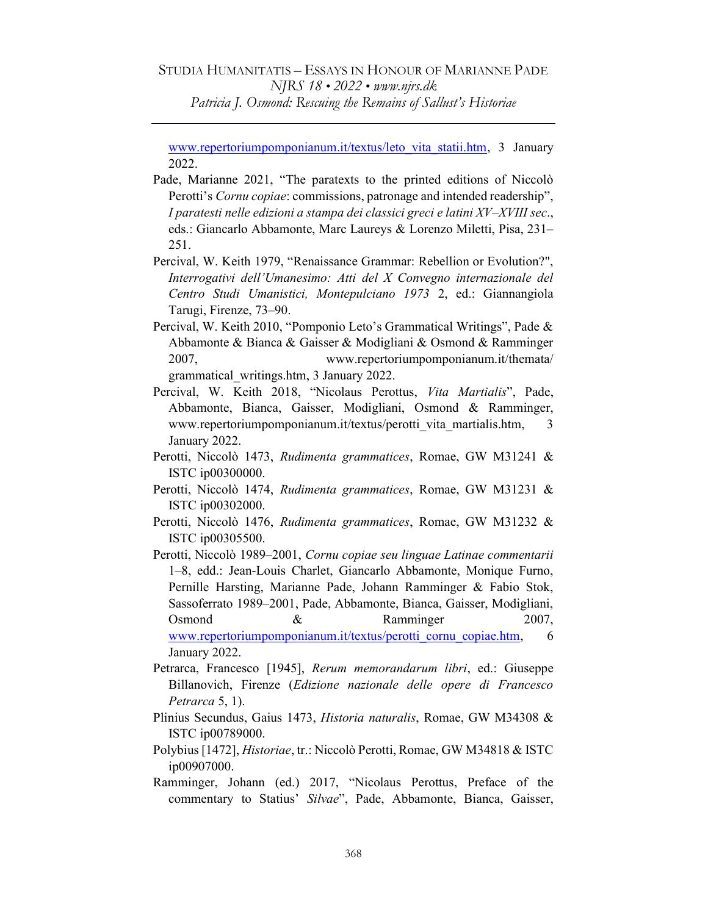www.repertoriumpomponianum.it/textus/leto\_vita\_statii.htm, 3 January 2022.

- Pade, Marianne 2021, "The paratexts to the printed editions of Niccolò Perotti's Cornu copiae: commissions, patronage and intended readership", I paratesti nelle edizioni a stampa dei classici greci e latini XV–XVIII sec., eds.: Giancarlo Abbamonte, Marc Laureys & Lorenzo Miletti, Pisa, 231– 251.
- Percival, W. Keith 1979, "Renaissance Grammar: Rebellion or Evolution?", Interrogativi dell'Umanesimo: Atti del X Convegno internazionale del Centro Studi Umanistici, Montepulciano 1973 2, ed.: Giannangiola Tarugi, Firenze, 73–90.
- Percival, W. Keith 2010, "Pomponio Leto's Grammatical Writings", Pade & Abbamonte & Bianca & Gaisser & Modigliani & Osmond & Ramminger 2007, www.repertoriumpomponianum.it/themata/ grammatical\_writings.htm, 3 January 2022.
- Percival, W. Keith 2018, "Nicolaus Perottus, Vita Martialis", Pade, Abbamonte, Bianca, Gaisser, Modigliani, Osmond & Ramminger, www.repertoriumpomponianum.it/textus/perotti vita martialis.htm, 3 January 2022.
- Perotti, Niccolò 1473, Rudimenta grammatices, Romae, GW M31241 & ISTC ip00300000.
- Perotti, Niccolò 1474, Rudimenta grammatices, Romae, GW M31231 & ISTC ip00302000.
- Perotti, Niccolò 1476, Rudimenta grammatices, Romae, GW M31232 & ISTC ip00305500.
- Perotti, Niccolò 1989–2001, Cornu copiae seu linguae Latinae commentarii 1–8, edd.: Jean-Louis Charlet, Giancarlo Abbamonte, Monique Furno, Pernille Harsting, Marianne Pade, Johann Ramminger & Fabio Stok, Sassoferrato 1989–2001, Pade, Abbamonte, Bianca, Gaisser, Modigliani, Osmond & Ramminger 2007, www.repertoriumpomponianum.it/textus/perotti\_cornu\_copiae.htm, 6 January 2022.
- Petrarca, Francesco [1945], Rerum memorandarum libri, ed.: Giuseppe Billanovich, Firenze (Edizione nazionale delle opere di Francesco Petrarca 5, 1).
- Plinius Secundus, Gaius 1473, Historia naturalis, Romae, GW M34308 & ISTC ip00789000.
- Polybius [1472], Historiae, tr.: Niccolò Perotti, Romae, GW M34818 & ISTC ip00907000.
- Ramminger, Johann (ed.) 2017, "Nicolaus Perottus, Preface of the commentary to Statius' Silvae", Pade, Abbamonte, Bianca, Gaisser,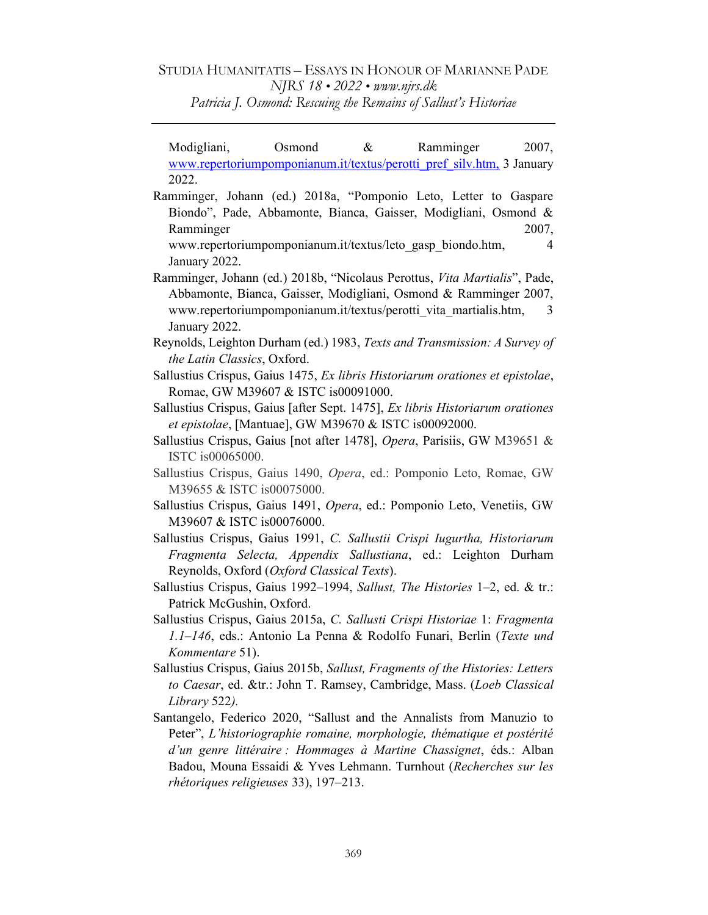Modigliani, Osmond & Ramminger 2007, www.repertoriumpomponianum.it/textus/perotti\_pref\_silv.htm, 3 January 2022.

Ramminger, Johann (ed.) 2018a, "Pomponio Leto, Letter to Gaspare Biondo", Pade, Abbamonte, Bianca, Gaisser, Modigliani, Osmond & Ramminger 2007, www.repertoriumpomponianum.it/textus/leto\_gasp\_biondo.htm, 4

January 2022.

- Ramminger, Johann (ed.) 2018b, "Nicolaus Perottus, Vita Martialis", Pade, Abbamonte, Bianca, Gaisser, Modigliani, Osmond & Ramminger 2007, www.repertoriumpomponianum.it/textus/perotti vita martialis.htm, 3 January 2022.
- Reynolds, Leighton Durham (ed.) 1983, Texts and Transmission: A Survey of the Latin Classics, Oxford.
- Sallustius Crispus, Gaius 1475, Ex libris Historiarum orationes et epistolae, Romae, GW M39607 & ISTC is00091000.
- Sallustius Crispus, Gaius [after Sept. 1475], Ex libris Historiarum orationes et epistolae, [Mantuae], GW M39670 & ISTC is00092000.
- Sallustius Crispus, Gaius [not after 1478], Opera, Parisiis, GW M39651 & ISTC is00065000.
- Sallustius Crispus, Gaius 1490, Opera, ed.: Pomponio Leto, Romae, GW M39655 & ISTC is00075000.
- Sallustius Crispus, Gaius 1491, Opera, ed.: Pomponio Leto, Venetiis, GW M39607 & ISTC is00076000.
- Sallustius Crispus, Gaius 1991, C. Sallustii Crispi Iugurtha, Historiarum Fragmenta Selecta, Appendix Sallustiana, ed.: Leighton Durham Reynolds, Oxford (Oxford Classical Texts).
- Sallustius Crispus, Gaius 1992–1994, Sallust, The Histories 1–2, ed. & tr.: Patrick McGushin, Oxford.
- Sallustius Crispus, Gaius 2015a, C. Sallusti Crispi Historiae 1: Fragmenta 1.1–146, eds.: Antonio La Penna & Rodolfo Funari, Berlin (Texte und Kommentare 51).
- Sallustius Crispus, Gaius 2015b, Sallust, Fragments of the Histories: Letters to Caesar, ed. &tr.: John T. Ramsey, Cambridge, Mass. (Loeb Classical Library 522).
- Santangelo, Federico 2020, "Sallust and the Annalists from Manuzio to Peter", L'historiographie romaine, morphologie, thématique et postérité d'un genre littéraire : Hommages à Martine Chassignet, éds.: Alban Badou, Mouna Essaidi & Yves Lehmann. Turnhout (Recherches sur les rhétoriques religieuses 33), 197–213.